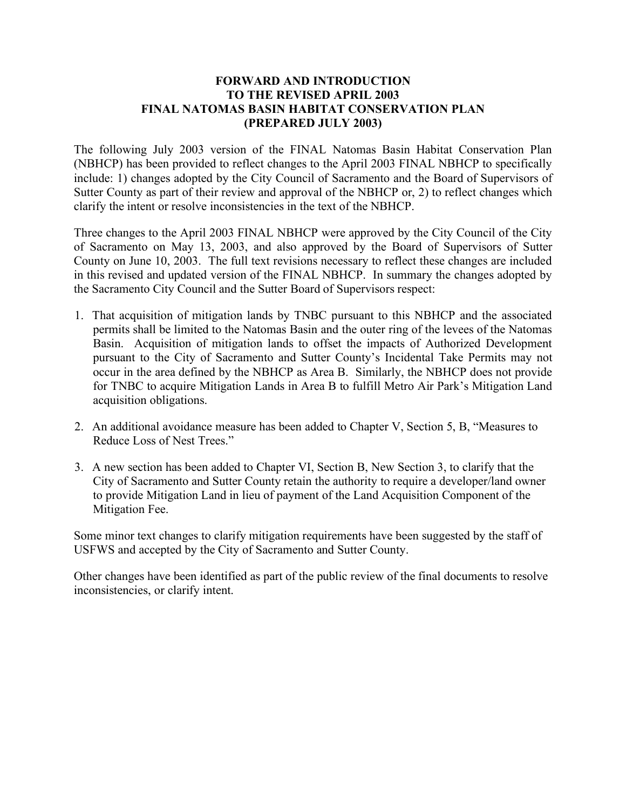## **FORWARD AND INTRODUCTION TO THE REVISED APRIL 2003 FINAL NATOMAS BASIN HABITAT CONSERVATION PLAN (PREPARED JULY 2003)**

 The following July 2003 version of the FINAL Natomas Basin Habitat Conservation Plan (NBHCP) has been provided to reflect changes to the April 2003 FINAL NBHCP to specifically include: 1) changes adopted by the City Council of Sacramento and the Board of Supervisors of Sutter County as part of their review and approval of the NBHCP or, 2) to reflect changes which clarify the intent or resolve inconsistencies in the text of the NBHCP.

 Three changes to the April 2003 FINAL NBHCP were approved by the City Council of the City of Sacramento on May 13, 2003, and also approved by the Board of Supervisors of Sutter County on June 10, 2003. The full text revisions necessary to reflect these changes are included in this revised and updated version of the FINAL NBHCP. In summary the changes adopted by the Sacramento City Council and the Sutter Board of Supervisors respect:

- 1. That acquisition of mitigation lands by TNBC pursuant to this NBHCP and the associated permits shall be limited to the Natomas Basin and the outer ring of the levees of the Natomas Basin. Acquisition of mitigation lands to offset the impacts of Authorized Development pursuant to the City of Sacramento and Sutter County's Incidental Take Permits may not occur in the area defined by the NBHCP as Area B. Similarly, the NBHCP does not provide for TNBC to acquire Mitigation Lands in Area B to fulfill Metro Air Park's Mitigation Land acquisition obligations.
- 2. An additional avoidance measure has been added to Chapter V, Section 5, B, "Measures to Reduce Loss of Nest Trees."
- 3. A new section has been added to Chapter VI, Section B, New Section 3, to clarify that the City of Sacramento and Sutter County retain the authority to require a developer/land owner to provide Mitigation Land in lieu of payment of the Land Acquisition Component of the Mitigation Fee.

 Some minor text changes to clarify mitigation requirements have been suggested by the staff of USFWS and accepted by the City of Sacramento and Sutter County.

 Other changes have been identified as part of the public review of the final documents to resolve inconsistencies, or clarify intent.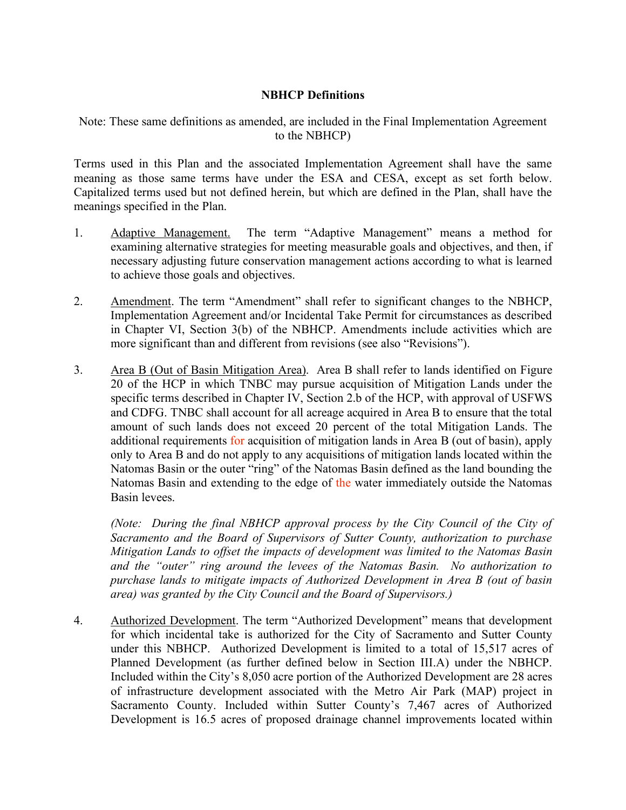## **NBHCP Definitions**

 Note: These same definitions as amended, are included in the Final Implementation Agreement to the NBHCP)

 Terms used in this Plan and the associated Implementation Agreement shall have the same meaning as those same terms have under the ESA and CESA, except as set forth below. Capitalized terms used but not defined herein, but which are defined in the Plan, shall have the meanings specified in the Plan.

- 1. Adaptive Management. The term "Adaptive Management" means a method for examining alternative strategies for meeting measurable goals and objectives, and then, if necessary adjusting future conservation management actions according to what is learned to achieve those goals and objectives.
- 2. Amendment. The term "Amendment" shall refer to significant changes to the NBHCP, Implementation Agreement and/or Incidental Take Permit for circumstances as described in Chapter VI, Section 3(b) of the NBHCP. Amendments include activities which are more significant than and different from revisions (see also "Revisions").
- 3. Area B (Out of Basin Mitigation Area). Area B shall refer to lands identified on Figure 20 of the HCP in which TNBC may pursue acquisition of Mitigation Lands under the specific terms described in Chapter IV, Section 2.b of the HCP, with approval of USFWS and CDFG. TNBC shall account for all acreage acquired in Area B to ensure that the total amount of such lands does not exceed 20 percent of the total Mitigation Lands. The additional requirements for acquisition of mitigation lands in Area B (out of basin), apply only to Area B and do not apply to any acquisitions of mitigation lands located within the Natomas Basin or the outer "ring" of the Natomas Basin defined as the land bounding the Natomas Basin and extending to the edge of the water immediately outside the Natomas Basin levees.

*(Note: During the final NBHCP approval process by the City Council of the City of Sacramento and the Board of Supervisors of Sutter County, authorization to purchase Mitigation Lands to offset the impacts of development was limited to the Natomas Basin and the "outer" ring around the levees of the Natomas Basin. No authorization to purchase lands to mitigate impacts of Authorized Development in Area B (out of basin area) was granted by the City Council and the Board of Supervisors.)* 

4. Authorized Development. The term "Authorized Development" means that development for which incidental take is authorized for the City of Sacramento and Sutter County under this NBHCP. Authorized Development is limited to a total of 15,517 acres of Planned Development (as further defined below in Section III.A) under the NBHCP. Included within the City's 8,050 acre portion of the Authorized Development are 28 acres of infrastructure development associated with the Metro Air Park (MAP) project in Sacramento County. Included within Sutter County's 7,467 acres of Authorized Development is 16.5 acres of proposed drainage channel improvements located within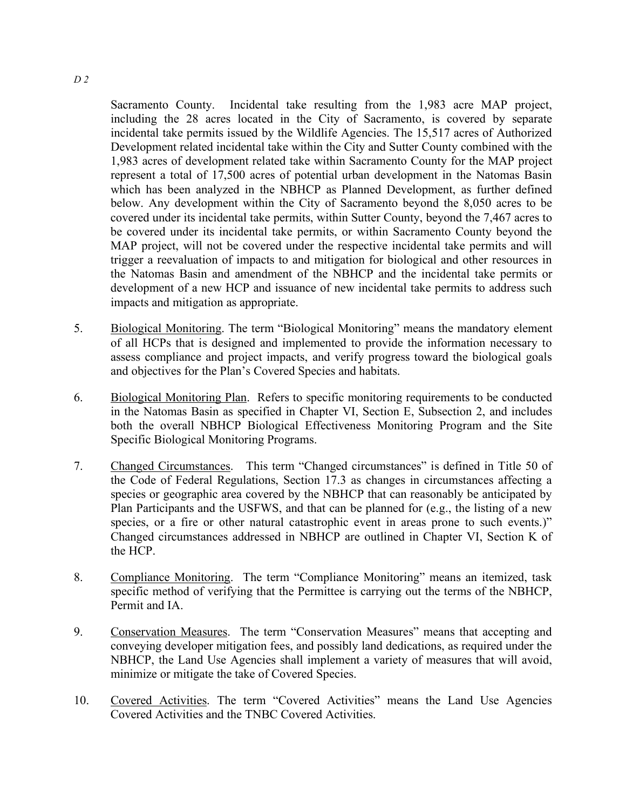Sacramento County. Incidental take resulting from the 1,983 acre MAP project, including the 28 acres located in the City of Sacramento, is covered by separate incidental take permits issued by the Wildlife Agencies. The 15,517 acres of Authorized Development related incidental take within the City and Sutter County combined with the 1,983 acres of development related take within Sacramento County for the MAP project represent a total of 17,500 acres of potential urban development in the Natomas Basin which has been analyzed in the NBHCP as Planned Development, as further defined below. Any development within the City of Sacramento beyond the 8,050 acres to be covered under its incidental take permits, within Sutter County, beyond the 7,467 acres to be covered under its incidental take permits, or within Sacramento County beyond the MAP project, will not be covered under the respective incidental take permits and will trigger a reevaluation of impacts to and mitigation for biological and other resources in the Natomas Basin and amendment of the NBHCP and the incidental take permits or development of a new HCP and issuance of new incidental take permits to address such impacts and mitigation as appropriate.

- 5. Biological Monitoring. The term "Biological Monitoring" means the mandatory element of all HCPs that is designed and implemented to provide the information necessary to assess compliance and project impacts, and verify progress toward the biological goals and objectives for the Plan's Covered Species and habitats.
- 6. Biological Monitoring Plan. Refers to specific monitoring requirements to be conducted in the Natomas Basin as specified in Chapter VI, Section E, Subsection 2, and includes both the overall NBHCP Biological Effectiveness Monitoring Program and the Site Specific Biological Monitoring Programs.
- 7. Changed Circumstances. This term "Changed circumstances" is defined in Title 50 of the Code of Federal Regulations, Section 17.3 as changes in circumstances affecting a species or geographic area covered by the NBHCP that can reasonably be anticipated by Plan Participants and the USFWS, and that can be planned for (e.g., the listing of a new species, or a fire or other natural catastrophic event in areas prone to such events.)" Changed circumstances addressed in NBHCP are outlined in Chapter VI, Section K of the HCP.
- 8. Compliance Monitoring. The term "Compliance Monitoring" means an itemized, task specific method of verifying that the Permittee is carrying out the terms of the NBHCP, Permit and IA
- 9. Conservation Measures. The term "Conservation Measures" means that accepting and conveying developer mitigation fees, and possibly land dedications, as required under the NBHCP, the Land Use Agencies shall implement a variety of measures that will avoid, minimize or mitigate the take of Covered Species.
- 10. Covered Activities. The term "Covered Activities" means the Land Use Agencies Covered Activities and the TNBC Covered Activities.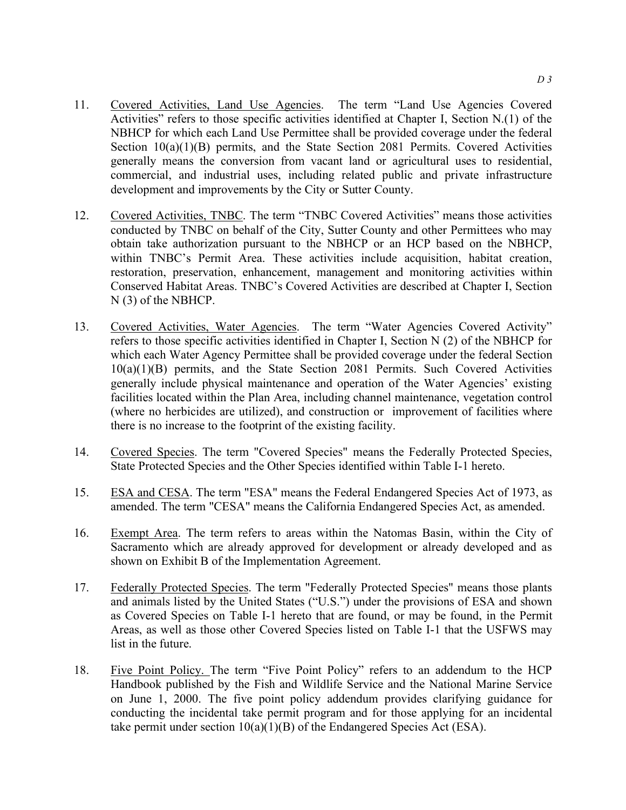- 11. Covered Activities, Land Use Agencies. The term "Land Use Agencies Covered Activities" refers to those specific activities identified at Chapter I, Section N.(1) of the NBHCP for which each Land Use Permittee shall be provided coverage under the federal Section 10(a)(1)(B) permits, and the State Section 2081 Permits. Covered Activities generally means the conversion from vacant land or agricultural uses to residential, commercial, and industrial uses, including related public and private infrastructure development and improvements by the City or Sutter County.
- 12. Covered Activities, TNBC. The term "TNBC Covered Activities" means those activities conducted by TNBC on behalf of the City, Sutter County and other Permittees who may obtain take authorization pursuant to the NBHCP or an HCP based on the NBHCP, within TNBC's Permit Area. These activities include acquisition, habitat creation, restoration, preservation, enhancement, management and monitoring activities within Conserved Habitat Areas. TNBC's Covered Activities are described at Chapter I, Section N (3) of the NBHCP.
- 13. Covered Activities, Water Agencies. The term "Water Agencies Covered Activity" refers to those specific activities identified in Chapter I, Section N (2) of the NBHCP for which each Water Agency Permittee shall be provided coverage under the federal Section 10(a)(1)(B) permits, and the State Section 2081 Permits. Such Covered Activities generally include physical maintenance and operation of the Water Agencies' existing facilities located within the Plan Area, including channel maintenance, vegetation control (where no herbicides are utilized), and construction or improvement of facilities where there is no increase to the footprint of the existing facility.
- 14. Covered Species. The term "Covered Species" means the Federally Protected Species, State Protected Species and the Other Species identified within Table I-1 hereto.
- 15. ESA and CESA. The term "ESA" means the Federal Endangered Species Act of 1973, as amended. The term "CESA" means the California Endangered Species Act, as amended.
- 16. Exempt Area. The term refers to areas within the Natomas Basin, within the City of Sacramento which are already approved for development or already developed and as shown on Exhibit B of the Implementation Agreement.
- 17. Federally Protected Species. The term "Federally Protected Species" means those plants and animals listed by the United States ("U.S.") under the provisions of ESA and shown as Covered Species on Table I-1 hereto that are found, or may be found, in the Permit Areas, as well as those other Covered Species listed on Table I-1 that the USFWS may list in the future.
- 18. Five Point Policy. The term "Five Point Policy" refers to an addendum to the HCP Handbook published by the Fish and Wildlife Service and the National Marine Service on June 1, 2000. The five point policy addendum provides clarifying guidance for conducting the incidental take permit program and for those applying for an incidental take permit under section  $10(a)(1)(B)$  of the Endangered Species Act (ESA).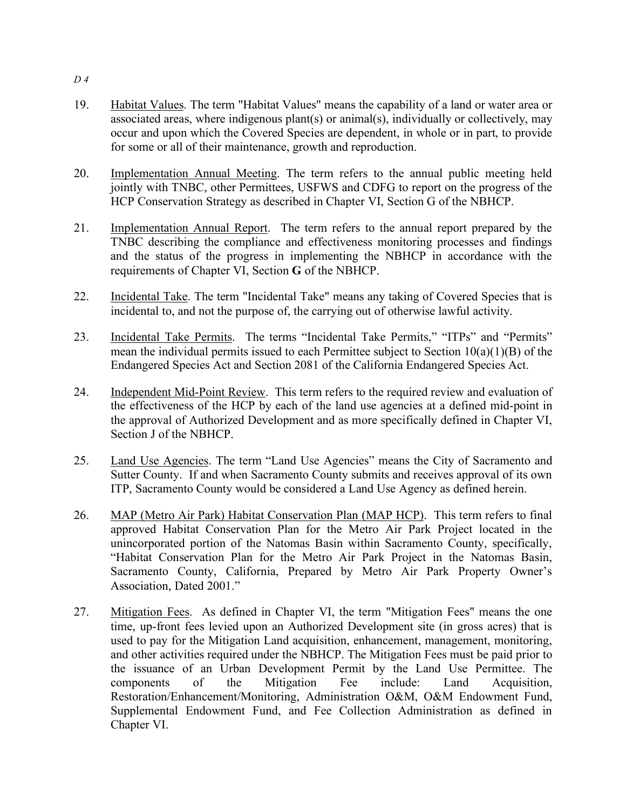- 19. Habitat Values. The term "Habitat Values" means the capability of a land or water area or associated areas, where indigenous plant(s) or animal(s), individually or collectively, may occur and upon which the Covered Species are dependent, in whole or in part, to provide for some or all of their maintenance, growth and reproduction.
- 20. Implementation Annual Meeting. The term refers to the annual public meeting held jointly with TNBC, other Permittees, USFWS and CDFG to report on the progress of the HCP Conservation Strategy as described in Chapter VI, Section G of the NBHCP.
- 21. Implementation Annual Report. The term refers to the annual report prepared by the TNBC describing the compliance and effectiveness monitoring processes and findings and the status of the progress in implementing the NBHCP in accordance with the requirements of Chapter VI, Section **G** of the NBHCP.
- 22. Incidental Take. The term "Incidental Take" means any taking of Covered Species that is incidental to, and not the purpose of, the carrying out of otherwise lawful activity.
- 23. Incidental Take Permits. The terms "Incidental Take Permits," "ITPs" and "Permits" mean the individual permits issued to each Permittee subject to Section 10(a)(1)(B) of the Endangered Species Act and Section 2081 of the California Endangered Species Act.
- 24. Independent Mid-Point Review. This term refers to the required review and evaluation of the effectiveness of the HCP by each of the land use agencies at a defined mid-point in the approval of Authorized Development and as more specifically defined in Chapter VI, Section J of the NBHCP.
- 25. Land Use Agencies. The term "Land Use Agencies" means the City of Sacramento and Sutter County. If and when Sacramento County submits and receives approval of its own ITP, Sacramento County would be considered a Land Use Agency as defined herein.
- 26. MAP (Metro Air Park) Habitat Conservation Plan (MAP HCP). This term refers to final approved Habitat Conservation Plan for the Metro Air Park Project located in the unincorporated portion of the Natomas Basin within Sacramento County, specifically, "Habitat Conservation Plan for the Metro Air Park Project in the Natomas Basin, Sacramento County, California, Prepared by Metro Air Park Property Owner's Association, Dated 2001."
- 27. Mitigation Fees. As defined in Chapter VI, the term "Mitigation Fees" means the one time, up-front fees levied upon an Authorized Development site (in gross acres) that is used to pay for the Mitigation Land acquisition, enhancement, management, monitoring, and other activities required under the NBHCP. The Mitigation Fees must be paid prior to the issuance of an Urban Development Permit by the Land Use Permittee. The components of the Mitigation Fee include: Land Acquisition, Restoration/Enhancement/Monitoring, Administration O&M, O&M Endowment Fund, Supplemental Endowment Fund, and Fee Collection Administration as defined in Chapter VI.

*D 4*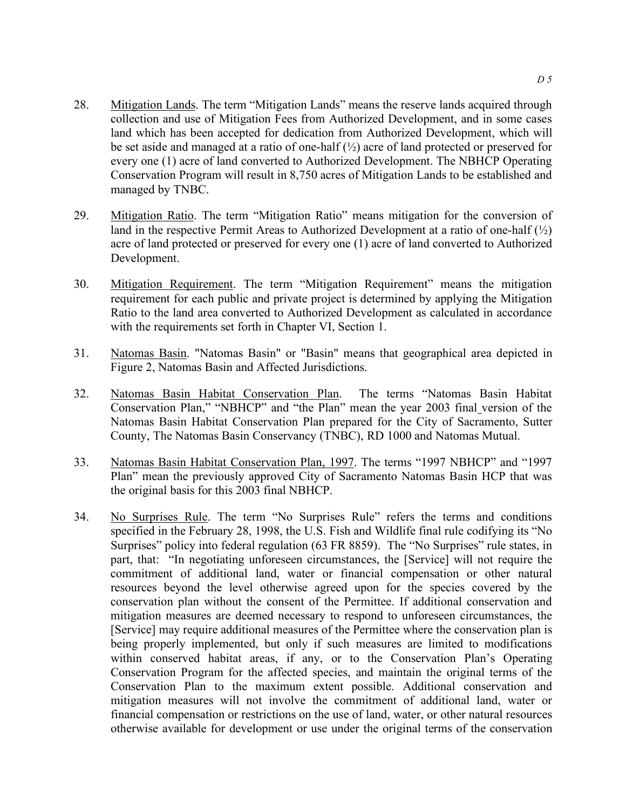- 28. Mitigation Lands. The term "Mitigation Lands" means the reserve lands acquired through collection and use of Mitigation Fees from Authorized Development, and in some cases land which has been accepted for dedication from Authorized Development, which will be set aside and managed at a ratio of one-half  $(\frac{1}{2})$  acre of land protected or preserved for every one (1) acre of land converted to Authorized Development. The NBHCP Operating Conservation Program will result in 8,750 acres of Mitigation Lands to be established and managed by TNBC.
- 29. Mitigation Ratio. The term "Mitigation Ratio" means mitigation for the conversion of land in the respective Permit Areas to Authorized Development at a ratio of one-half  $\binom{1}{2}$ acre of land protected or preserved for every one (1) acre of land converted to Authorized Development.
- 30. Mitigation Requirement. The term "Mitigation Requirement" means the mitigation requirement for each public and private project is determined by applying the Mitigation Ratio to the land area converted to Authorized Development as calculated in accordance with the requirements set forth in Chapter VI, Section 1.
- 31. Natomas Basin. "Natomas Basin" or "Basin" means that geographical area depicted in Figure 2, Natomas Basin and Affected Jurisdictions.
- 32. Natomas Basin Habitat Conservation Plan. The terms "Natomas Basin Habitat Conservation Plan," "NBHCP" and "the Plan" mean the year 2003 final version of the Natomas Basin Habitat Conservation Plan prepared for the City of Sacramento, Sutter County, The Natomas Basin Conservancy (TNBC), RD 1000 and Natomas Mutual.
- 33. Natomas Basin Habitat Conservation Plan, 1997. The terms "1997 NBHCP" and "1997 Plan" mean the previously approved City of Sacramento Natomas Basin HCP that was the original basis for this 2003 final NBHCP.
- 34. No Surprises Rule. The term "No Surprises Rule" refers the terms and conditions specified in the February 28, 1998, the U.S. Fish and Wildlife final rule codifying its "No Surprises" policy into federal regulation (63 FR 8859). The "No Surprises" rule states, in part, that: "In negotiating unforeseen circumstances, the [Service] will not require the commitment of additional land, water or financial compensation or other natural resources beyond the level otherwise agreed upon for the species covered by the conservation plan without the consent of the Permittee. If additional conservation and mitigation measures are deemed necessary to respond to unforeseen circumstances, the [Service] may require additional measures of the Permittee where the conservation plan is being properly implemented, but only if such measures are limited to modifications within conserved habitat areas, if any, or to the Conservation Plan's Operating Conservation Program for the affected species, and maintain the original terms of the Conservation Plan to the maximum extent possible. Additional conservation and mitigation measures will not involve the commitment of additional land, water or financial compensation or restrictions on the use of land, water, or other natural resources otherwise available for development or use under the original terms of the conservation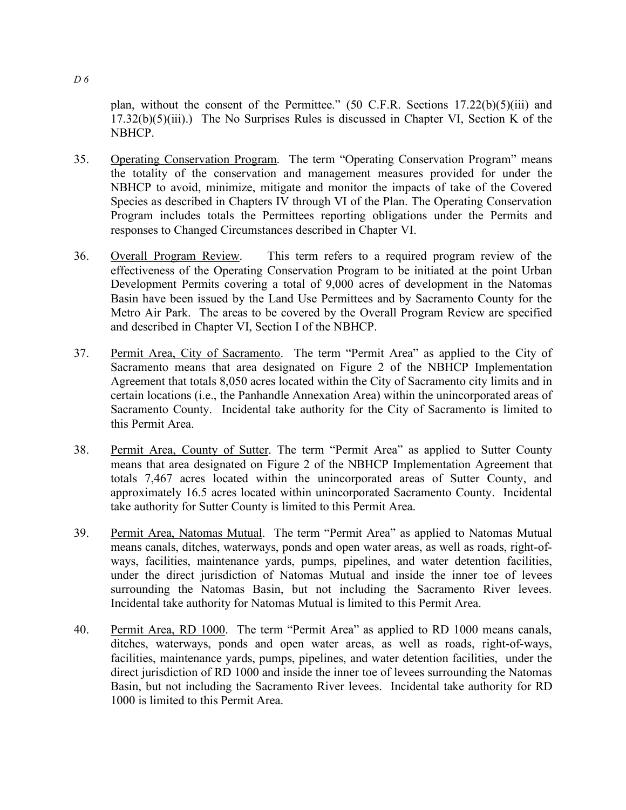plan, without the consent of the Permittee." (50 C.F.R. Sections 17.22(b)(5)(iii) and  $17.32(b)(5)(iii)$ .) The No Surprises Rules is discussed in Chapter VI, Section K of the NBHCP.

- 35. Operating Conservation Program. The term "Operating Conservation Program" means the totality of the conservation and management measures provided for under the NBHCP to avoid, minimize, mitigate and monitor the impacts of take of the Covered Species as described in Chapters IV through VI of the Plan. The Operating Conservation Program includes totals the Permittees reporting obligations under the Permits and responses to Changed Circumstances described in Chapter VI.
- 36. Overall Program Review. This term refers to a required program review of the effectiveness of the Operating Conservation Program to be initiated at the point Urban Development Permits covering a total of 9,000 acres of development in the Natomas Basin have been issued by the Land Use Permittees and by Sacramento County for the Metro Air Park. The areas to be covered by the Overall Program Review are specified and described in Chapter VI, Section I of the NBHCP.
- 37. Permit Area, City of Sacramento. The term "Permit Area" as applied to the City of Sacramento means that area designated on Figure 2 of the NBHCP Implementation Agreement that totals 8,050 acres located within the City of Sacramento city limits and in certain locations (i.e., the Panhandle Annexation Area) within the unincorporated areas of Sacramento County. Incidental take authority for the City of Sacramento is limited to this Permit Area.
- 38. Permit Area, County of Sutter. The term "Permit Area" as applied to Sutter County means that area designated on Figure 2 of the NBHCP Implementation Agreement that totals 7,467 acres located within the unincorporated areas of Sutter County, and approximately 16.5 acres located within unincorporated Sacramento County. Incidental take authority for Sutter County is limited to this Permit Area.
- 39. Permit Area, Natomas Mutual. The term "Permit Area" as applied to Natomas Mutual means canals, ditches, waterways, ponds and open water areas, as well as roads, right-ofways, facilities, maintenance yards, pumps, pipelines, and water detention facilities, under the direct jurisdiction of Natomas Mutual and inside the inner toe of levees surrounding the Natomas Basin, but not including the Sacramento River levees. Incidental take authority for Natomas Mutual is limited to this Permit Area.
- 40. Permit Area, RD 1000. The term "Permit Area" as applied to RD 1000 means canals, ditches, waterways, ponds and open water areas, as well as roads, right-of-ways, facilities, maintenance yards, pumps, pipelines, and water detention facilities, under the direct jurisdiction of RD 1000 and inside the inner toe of levees surrounding the Natomas Basin, but not including the Sacramento River levees. Incidental take authority for RD 1000 is limited to this Permit Area.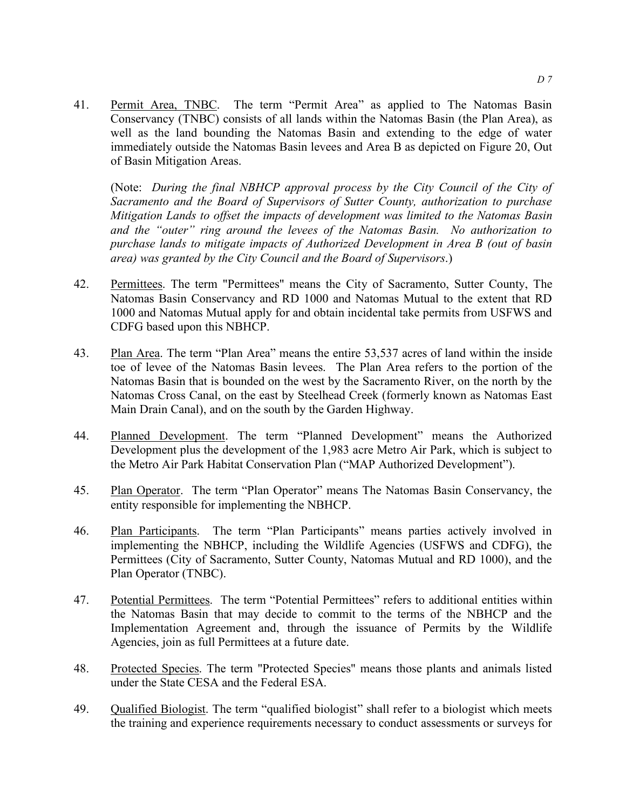41. Permit Area, TNBC. The term "Permit Area" as applied to The Natomas Basin Conservancy (TNBC) consists of all lands within the Natomas Basin (the Plan Area), as well as the land bounding the Natomas Basin and extending to the edge of water immediately outside the Natomas Basin levees and Area B as depicted on Figure 20, Out of Basin Mitigation Areas.

(Note: *During the final NBHCP approval process by the City Council of the City of Sacramento and the Board of Supervisors of Sutter County, authorization to purchase Mitigation Lands to offset the impacts of development was limited to the Natomas Basin and the "outer" ring around the levees of the Natomas Basin. No authorization to purchase lands to mitigate impacts of Authorized Development in Area B (out of basin area) was granted by the City Council and the Board of Supervisors*.)

- 42. Permittees. The term "Permittees" means the City of Sacramento, Sutter County, The Natomas Basin Conservancy and RD 1000 and Natomas Mutual to the extent that RD 1000 and Natomas Mutual apply for and obtain incidental take permits from USFWS and CDFG based upon this NBHCP.
- 43. Plan Area. The term "Plan Area" means the entire 53,537 acres of land within the inside toe of levee of the Natomas Basin levees. The Plan Area refers to the portion of the Natomas Basin that is bounded on the west by the Sacramento River, on the north by the Natomas Cross Canal, on the east by Steelhead Creek (formerly known as Natomas East Main Drain Canal), and on the south by the Garden Highway.
- 44. Planned Development. The term "Planned Development" means the Authorized Development plus the development of the 1,983 acre Metro Air Park, which is subject to the Metro Air Park Habitat Conservation Plan ("MAP Authorized Development").
- 45. Plan Operator. The term "Plan Operator" means The Natomas Basin Conservancy, the entity responsible for implementing the NBHCP.
- 46. Plan Participants. The term "Plan Participants" means parties actively involved in implementing the NBHCP, including the Wildlife Agencies (USFWS and CDFG), the Permittees (City of Sacramento, Sutter County, Natomas Mutual and RD 1000), and the Plan Operator (TNBC).
- 47. Potential Permittees. The term "Potential Permittees" refers to additional entities within the Natomas Basin that may decide to commit to the terms of the NBHCP and the Implementation Agreement and, through the issuance of Permits by the Wildlife Agencies, join as full Permittees at a future date.
- 48. Protected Species. The term "Protected Species" means those plants and animals listed under the State CESA and the Federal ESA.
- 49. Qualified Biologist. The term "qualified biologist" shall refer to a biologist which meets the training and experience requirements necessary to conduct assessments or surveys for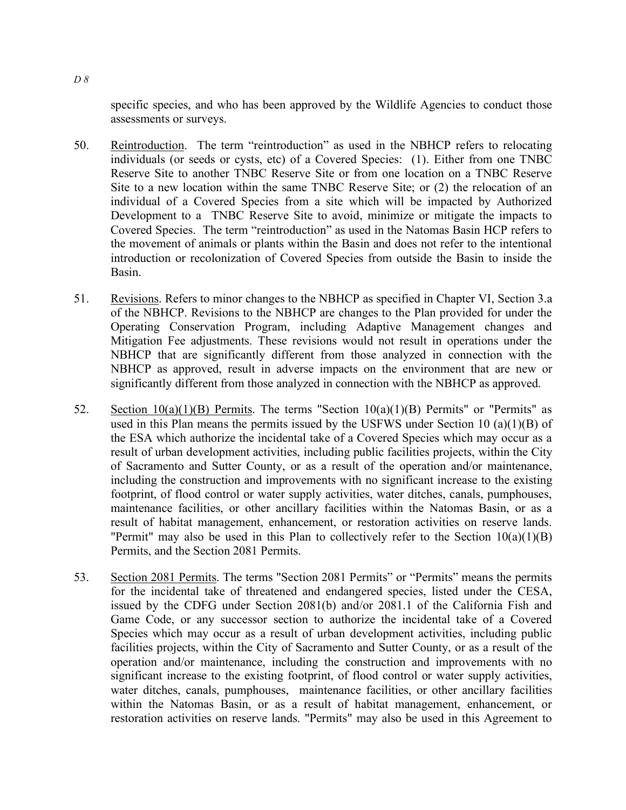specific species, and who has been approved by the Wildlife Agencies to conduct those assessments or surveys.

- 50. Reintroduction. The term "reintroduction" as used in the NBHCP refers to relocating individuals (or seeds or cysts, etc) of a Covered Species: (1). Either from one TNBC Reserve Site to another TNBC Reserve Site or from one location on a TNBC Reserve Site to a new location within the same TNBC Reserve Site; or (2) the relocation of an individual of a Covered Species from a site which will be impacted by Authorized Development to a TNBC Reserve Site to avoid, minimize or mitigate the impacts to Covered Species. The term "reintroduction" as used in the Natomas Basin HCP refers to the movement of animals or plants within the Basin and does not refer to the intentional introduction or recolonization of Covered Species from outside the Basin to inside the Basin.
- 51. Revisions. Refers to minor changes to the NBHCP as specified in Chapter VI, Section 3.a of the NBHCP. Revisions to the NBHCP are changes to the Plan provided for under the Operating Conservation Program, including Adaptive Management changes and Mitigation Fee adjustments. These revisions would not result in operations under the NBHCP that are significantly different from those analyzed in connection with the NBHCP as approved, result in adverse impacts on the environment that are new or significantly different from those analyzed in connection with the NBHCP as approved.
- 52. Section  $10(a)(1)(B)$  Permits. The terms "Section  $10(a)(1)(B)$  Permits" or "Permits" as used in this Plan means the permits issued by the USFWS under Section 10 (a)(1)(B) of the ESA which authorize the incidental take of a Covered Species which may occur as a result of urban development activities, including public facilities projects, within the City of Sacramento and Sutter County, or as a result of the operation and/or maintenance, including the construction and improvements with no significant increase to the existing footprint, of flood control or water supply activities, water ditches, canals, pumphouses, maintenance facilities, or other ancillary facilities within the Natomas Basin, or as a result of habitat management, enhancement, or restoration activities on reserve lands. "Permit" may also be used in this Plan to collectively refer to the Section  $10(a)(1)(B)$ Permits, and the Section 2081 Permits.
- 53. Section 2081 Permits. The terms "Section 2081 Permits" or "Permits" means the permits for the incidental take of threatened and endangered species, listed under the CESA, issued by the CDFG under Section 2081(b) and/or 2081.1 of the California Fish and Game Code, or any successor section to authorize the incidental take of a Covered Species which may occur as a result of urban development activities, including public facilities projects, within the City of Sacramento and Sutter County, or as a result of the operation and/or maintenance, including the construction and improvements with no significant increase to the existing footprint, of flood control or water supply activities, water ditches, canals, pumphouses, maintenance facilities, or other ancillary facilities within the Natomas Basin, or as a result of habitat management, enhancement, or restoration activities on reserve lands. "Permits" may also be used in this Agreement to

*D 8*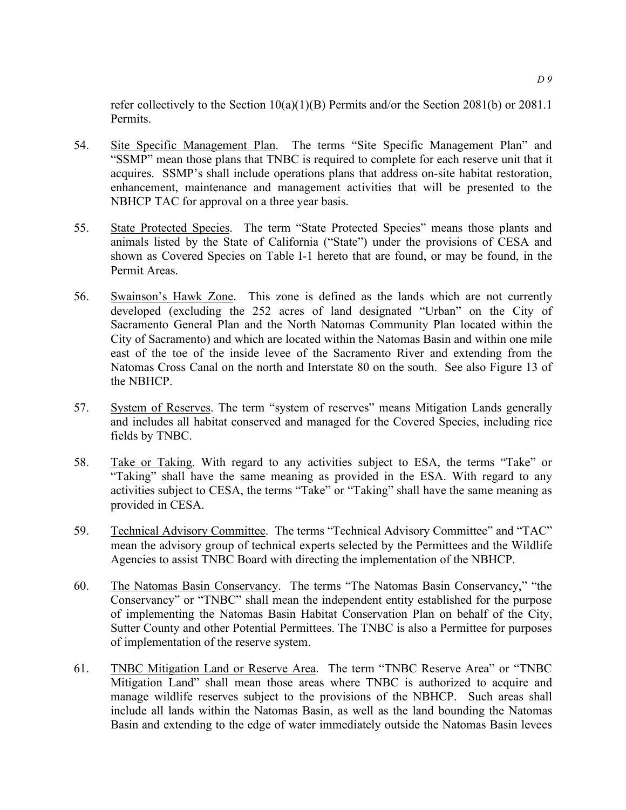refer collectively to the Section 10(a)(1)(B) Permits and/or the Section 2081(b) or 2081.1 Permits.

- 54. Site Specific Management Plan. The terms "Site Specific Management Plan" and "SSMP" mean those plans that TNBC is required to complete for each reserve unit that it acquires. SSMP's shall include operations plans that address on-site habitat restoration, enhancement, maintenance and management activities that will be presented to the NBHCP TAC for approval on a three year basis.
- 55. State Protected Species. The term "State Protected Species" means those plants and animals listed by the State of California ("State") under the provisions of CESA and shown as Covered Species on Table I-1 hereto that are found, or may be found, in the Permit Areas.
- 56. Swainson's Hawk Zone. This zone is defined as the lands which are not currently developed (excluding the 252 acres of land designated "Urban" on the City of Sacramento General Plan and the North Natomas Community Plan located within the City of Sacramento) and which are located within the Natomas Basin and within one mile east of the toe of the inside levee of the Sacramento River and extending from the Natomas Cross Canal on the north and Interstate 80 on the south. See also Figure 13 of the NBHCP.
- 57. System of Reserves. The term "system of reserves" means Mitigation Lands generally and includes all habitat conserved and managed for the Covered Species, including rice fields by TNBC.
- 58. Take or Taking. With regard to any activities subject to ESA, the terms "Take" or "Taking" shall have the same meaning as provided in the ESA. With regard to any activities subject to CESA, the terms "Take" or "Taking" shall have the same meaning as provided in CESA.
- 59. Technical Advisory Committee. The terms "Technical Advisory Committee" and "TAC" mean the advisory group of technical experts selected by the Permittees and the Wildlife Agencies to assist TNBC Board with directing the implementation of the NBHCP.
- 60. The Natomas Basin Conservancy. The terms "The Natomas Basin Conservancy," "the Conservancy" or "TNBC" shall mean the independent entity established for the purpose of implementing the Natomas Basin Habitat Conservation Plan on behalf of the City, Sutter County and other Potential Permittees. The TNBC is also a Permittee for purposes of implementation of the reserve system.
- 61. TNBC Mitigation Land or Reserve Area. The term "TNBC Reserve Area" or "TNBC Mitigation Land" shall mean those areas where TNBC is authorized to acquire and manage wildlife reserves subject to the provisions of the NBHCP. Such areas shall include all lands within the Natomas Basin, as well as the land bounding the Natomas Basin and extending to the edge of water immediately outside the Natomas Basin levees